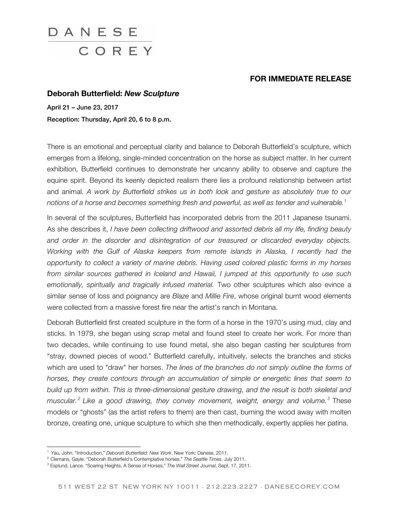

## **FOR IMMEDIATE RELEASE**

## **Deborah Butterfield:** *New Sculpture*

April 21 – June 23, 2017 Reception: Thursday, April 20, 6 to 8 p.m.

There is an emotional and perceptual clarity and balance to Deborah Butterfield's sculpture, which emerges from a lifelong, single-minded concentration on the horse as subject matter. In her current exhibition, Butterfield continues to demonstrate her uncanny ability to observe and capture the equine spirit. Beyond its keenly depicted realism there lies a profound relationship between artist and animal. *A work by Butterfield strikes us in both look and gesture as absolutely true to our notions of a horse and becomes something fresh and powerful, as well as tender and vulnerable.1*

In several of the sculptures, Butterfield has incorporated debris from the 2011 Japanese tsunami. As she describes it, *I have been collecting driftwood and assorted debris all my life, finding beauty and order in the disorder and disintegration of our treasured or discarded everyday objects. Working with the Gulf of Alaska keepers from remote islands in Alaska, I recently had the opportunity to collect a variety of marine debris. Having used colored plastic forms in my horses from similar sources gathered in Iceland and Hawaii, I jumped at this opportunity to use such emotionally, spiritually and tragically infused material.* Two other sculptures which also evince a similar sense of loss and poignancy are *Blaze* and *Millie Fire*, whose original burnt wood elements were collected from a massive forest fire near the artist's ranch in Montana.

Deborah Butterfield first created sculpture in the form of a horse in the 1970's using mud, clay and sticks. In 1979, she began using scrap metal and found steel to create her work. For more than two decades, while continuing to use found metal, she also began casting her sculptures from "stray, downed pieces of wood." Butterfield carefully, intuitively, selects the branches and sticks which are used to "draw" her horses. *The lines of the branches do not simply outline the forms of horses, they create contours through an accumulation of simple or energetic lines that seem to build up from within. This is three-dimensional gesture drawing, and the result is both skeletal and muscular. <sup>2</sup> Like a good drawing, they convey movement, weight, energy and volume. <sup>3</sup>* These models or "ghosts" (as the artist refers to them) are then cast, burning the wood away with molten bronze, creating one, unique sculpture to which she then methodically, expertly applies her patina.

.

<sup>1</sup> Yau, John. "Introduction," *Deborah Butterfield: New Work*. New York: Danese, 2011.

<sup>2</sup> Clemans, Gayle. "Deborah Butterfield's Contemplative horses." *The Seattle Times*. July 2011.

<sup>3</sup> Esplund, Lance. "Soaring Heights, A Sense of Horses," *The Wall Street Journal*, Sept. 17, 2011.